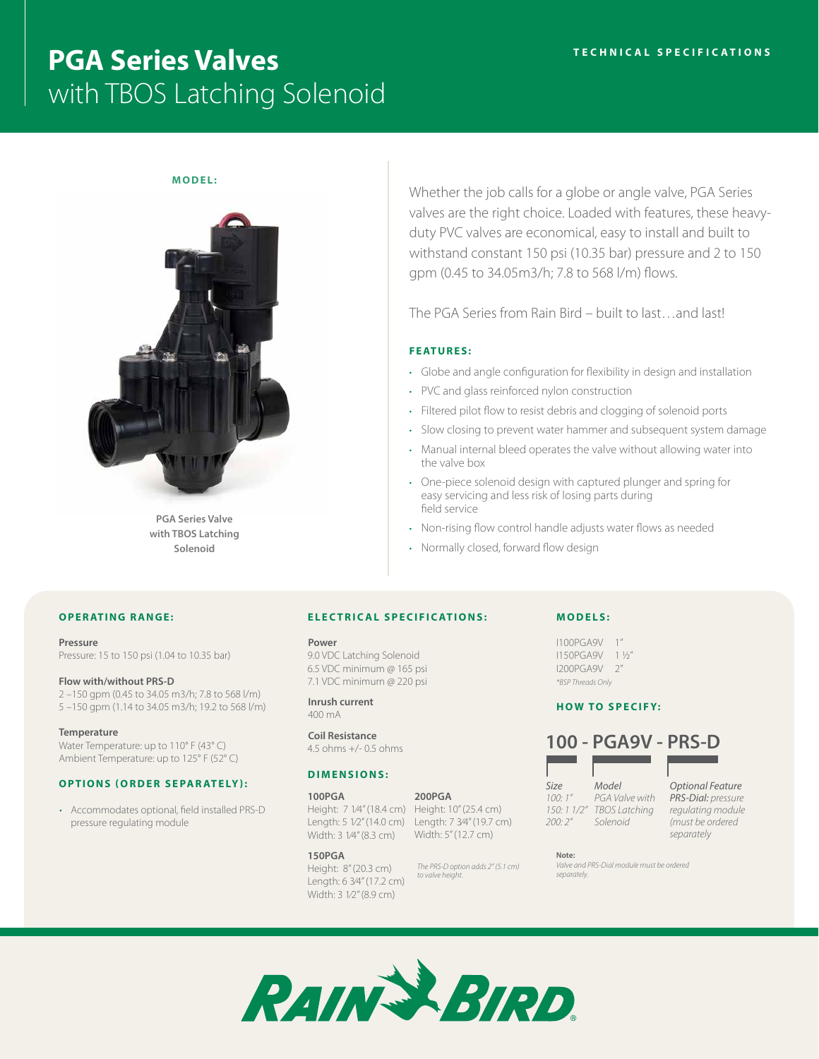# **PGA Series Valves** with TBOS Latching Solenoid

### **MODEL:**



**PGA Series Valve with TBOS Latching Solenoid**

Whether the job calls for a globe or angle valve, PGA Series valves are the right choice. Loaded with features, these heavyduty PVC valves are economical, easy to install and built to withstand constant 150 psi (10.35 bar) pressure and 2 to 150 gpm (0.45 to 34.05m3/h; 7.8 to 568 l/m) flows.

The PGA Series from Rain Bird – built to last…and last!

### **FEATURES:**

- Globe and angle configuration for flexibility in design and installation
- PVC and glass reinforced nylon construction
- Filtered pilot flow to resist debris and clogging of solenoid ports
- Slow closing to prevent water hammer and subsequent system damage
- Manual internal bleed operates the valve without allowing water into the valve box
- One-piece solenoid design with captured plunger and spring for easy servicing and less risk of losing parts during field service
- Non-rising flow control handle adjusts water flows as needed
- Normally closed, forward flow design

### **OPERATING RANGE:**

### **Pressure**

Pressure: 15 to 150 psi (1.04 to 10.35 bar)

### **Flow with/without PRS-D**

2 –150 gpm (0.45 to 34.05 m3/h; 7.8 to 568 l/m) 5 –150 gpm (1.14 to 34.05 m3/h; 19.2 to 568 l/m)

### **Temperature**

Water Temperature: up to 110° F (43° C) Ambient Temperature: up to 125° F (52° C)

### **OPTIONS (ORDER SEPARATELY):**

• Accommodates optional, field installed PRS-D pressure regulating module

### **ELECTRICAL SPECIFICATIONS:**

### **Power**

9.0 VDC Latching Solenoid 6.5 VDC minimum @ 165 psi 7.1 VDC minimum @ 220 psi

#### **Inrush current** 400 mA

**Coil Resistance** 4.5 ohms +/- 0.5 ohms

### **DIMENSIONS:**

## **100PGA** Height: 7 1⁄4" (18.4 cm) Height: 10" (25.4 cm)

Length: 5 1⁄2" (14.0 cm) Length: 7 3⁄4" (19.7 cm) Width: 3 1⁄4" (8.3 cm) Width: 5" (12.7 cm)

### **150PGA**

Height: 8" (20.3 cm) Length: 6 3⁄4" (17.2 cm) Width: 3 1⁄2" (8.9 cm)

### **MODELS:**

I100PGA9V 1" I150PGA9V 1 1/2" I200PGA9V 2" *\*BSP Threads Only*

### **HOW TO SPECIFY:**



| Size               | Model  |
|--------------------|--------|
| 100:1"             | PGA Vo |
| 150: 1 1/2" TBOS L |        |
| 200: 2″            | Solenc |

*PGA Valve with TBOS Latching Solenoid*

*Optional Feature PRS-Dial: pressure regulating module (must be ordered separately*

**Note:** *Valve and PRS-Dial module must be ordered separately.* 



*The PRS-D option adds 2" (5.1 cm) to valve height.*

**200PGA**

*200: 2"*